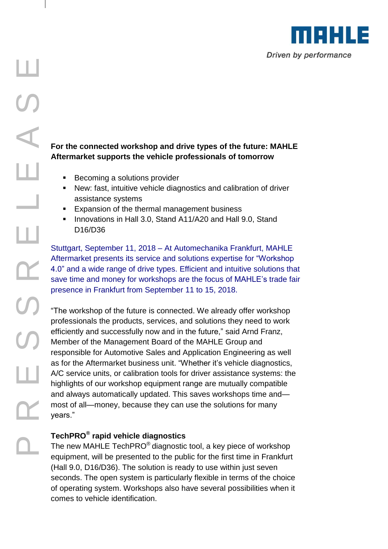

щ

# **For the connected workshop and drive types of the future: MAHLE Aftermarket supports the vehicle professionals of tomorrow**

- Becoming a solutions provider
- New: fast, intuitive vehicle diagnostics and calibration of driver assistance systems
- **Expansion of the thermal management business**
- **Innovations in Hall 3.0, Stand A11/A20 and Hall 9.0, Stand** D16/D36

Stuttgart, September 11, 2018 – At Automechanika Frankfurt, MAHLE Aftermarket presents its service and solutions expertise for "Workshop 4.0" and a wide range of drive types. Efficient and intuitive solutions that save time and money for workshops are the focus of MAHLE's trade fair presence in Frankfurt from September 11 to 15, 2018.

"The workshop of the future is connected. We already offer workshop professionals the products, services, and solutions they need to work efficiently and successfully now and in the future," said Arnd Franz, Member of the Management Board of the MAHLE Group and responsible for Automotive Sales and Application Engineering as well as for the Aftermarket business unit. "Whether it's vehicle diagnostics, A/C service units, or calibration tools for driver assistance systems: the highlights of our workshop equipment range are mutually compatible and always automatically updated. This saves workshops time and most of all—money, because they can use the solutions for many

## **TechPRO® rapid vehicle diagnostics**

The new MAHLE TechPRO $^\circledast$ diagnostic tool, a key piece of workshop equipment, will be presented to the public for the first time in Frankfurt (Hall 9.0, D16/D36). The solution is ready to use within just seven seconds. The open system is particularly flexible in terms of the choice of operating system. Workshops also have several possibilities when it comes to vehicle identification.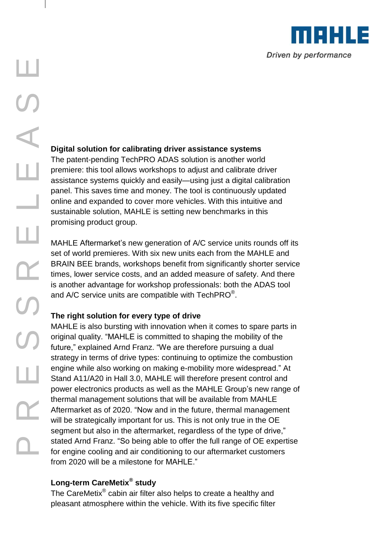

# The R Dig The assement of the R E S and The Set time and Sure Control of the Set time and State Control of the After State for After seg state for Ц  $\overline{\phantom{0}}$ T  $\mathsf{\Omega}\mathsf{-}$

щ

#### **Digital solution for calibrating driver assistance systems**

The patent-pending TechPRO ADAS solution is another world premiere: this tool allows workshops to adjust and calibrate driver assistance systems quickly and easily—using just a digital calibration panel. This saves time and money. The tool is continuously updated online and expanded to cover more vehicles. With this intuitive and sustainable solution, MAHLE is setting new benchmarks in this promising product group.

MAHLE Aftermarket's new generation of A/C service units rounds off its set of world premieres. With six new units each from the MAHLE and BRAIN BEE brands, workshops benefit from significantly shorter service times, lower service costs, and an added measure of safety. And there is another advantage for workshop professionals: both the ADAS tool and A/C service units are compatible with TechPRO $^\circ$ .

#### **The right solution for every type of drive**

MAHLE is also bursting with innovation when it comes to spare parts in original quality. "MAHLE is committed to shaping the mobility of the future," explained Arnd Franz. "We are therefore pursuing a dual strategy in terms of drive types: continuing to optimize the combustion engine while also working on making e-mobility more widespread." At Stand A11/A20 in Hall 3.0, MAHLE will therefore present control and power electronics products as well as the MAHLE Group's new range of thermal management solutions that will be available from MAHLE Aftermarket as of 2020. "Now and in the future, thermal management will be strategically important for us. This is not only true in the OE segment but also in the aftermarket, regardless of the type of drive," stated Arnd Franz. "So being able to offer the full range of OE expertise for engine cooling and air conditioning to our aftermarket customers from 2020 will be a milestone for MAHLE."

## **Long-term CareMetix® study**

The CareMetix $^{\circledR}$  cabin air filter also helps to create a healthy and pleasant atmosphere within the vehicle. With its five specific filter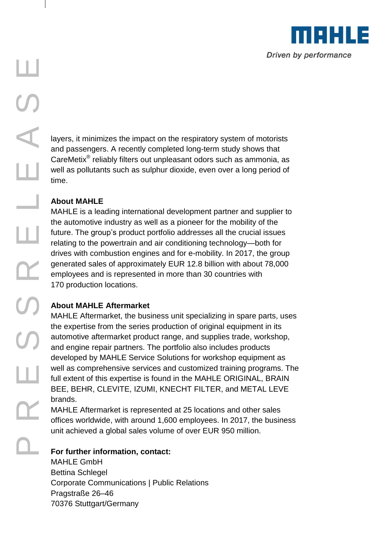

щ

layers, it minimizes the impact on the respiratory system of motorists and passengers. A recently completed long-term study shows that CareMetix $^{\circledR}$  reliably filters out unpleasant odors such as ammonia, as well as pollutants such as sulphur dioxide, even over a long period of time.

## **About MAHLE**

MAHLE is a leading international development partner and supplier to the automotive industry as well as a pioneer for the mobility of the future. The group's product portfolio addresses all the crucial issues relating to the powertrain and air conditioning technology—both for drives with combustion engines and for e-mobility. In 2017, the group generated sales of approximately EUR 12.8 billion with about 78,000 employees and is represented in more than 30 countries with 170 production locations.

# **About MAHLE Aftermarket**

MAHLE Aftermarket, the business unit specializing in spare parts, uses the expertise from the series production of original equipment in its automotive aftermarket product range, and supplies trade, workshop, and engine repair partners. The portfolio also includes products developed by MAHLE Service Solutions for workshop equipment as well as comprehensive services and customized training programs. The full extent of this expertise is found in the MAHLE ORIGINAL, BRAIN BEE, BEHR, CLEVITE, IZUMI, KNECHT FILTER, and METAL LEVE brands.

MAHLE Aftermarket is represented at 25 locations and other sales offices worldwide, with around 1,600 employees. In 2017, the business unit achieved a global sales volume of over EUR 950 million.

# **For further information, contact:**

MAHLE GmbH Bettina Schlegel Corporate Communications | Public Relations Pragstraße 26–46 70376 Stuttgart/Germany